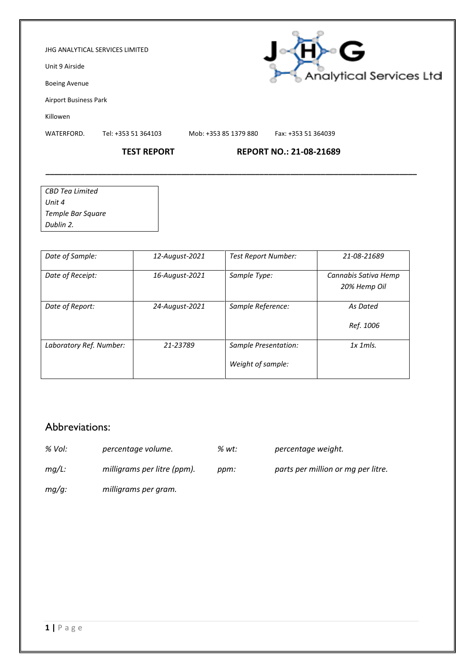#### JHG ANALYTICAL SERVICES LIMITED

Unit 9 Airside

Boeing Avenue

Airport Business Park

Killowen

WATERFORD. Tel: +353 51 364103 Mob: +353 85 1379 880 Fax: +353 51 364039

**\_\_\_\_\_\_\_\_\_\_\_\_\_\_\_\_\_\_\_\_\_\_\_\_\_\_\_\_\_\_\_\_\_\_\_\_\_\_\_\_\_\_\_\_\_\_\_\_\_\_\_\_\_\_\_\_\_\_\_\_\_\_\_\_\_\_\_\_\_\_\_\_\_\_\_\_\_\_\_\_\_\_\_\_\_**

### **TEST REPORT REPORT NO.: 21-08-21689**

| CBD Tea Limited   |  |
|-------------------|--|
| Unit 4            |  |
| Temple Bar Square |  |
| Dublin 2.         |  |

| Date of Sample:         | 12-August-2021 | <b>Test Report Number:</b>                | 21-08-21689                          |
|-------------------------|----------------|-------------------------------------------|--------------------------------------|
| Date of Receipt:        | 16-August-2021 | Sample Type:                              | Cannabis Sativa Hemp<br>20% Hemp Oil |
| Date of Report:         | 24-August-2021 | Sample Reference:                         | As Dated<br>Ref. 1006                |
| Laboratory Ref. Number: | 21-23789       | Sample Presentation:<br>Weight of sample: | $1x$ 1 m/s.                          |

## Abbreviations:

- *% Vol: percentage volume. % wt: percentage weight.*
- 
- *mg/L: milligrams per litre (ppm). ppm: parts per million or mg per litre.*
- *mg/g: milligrams per gram.*